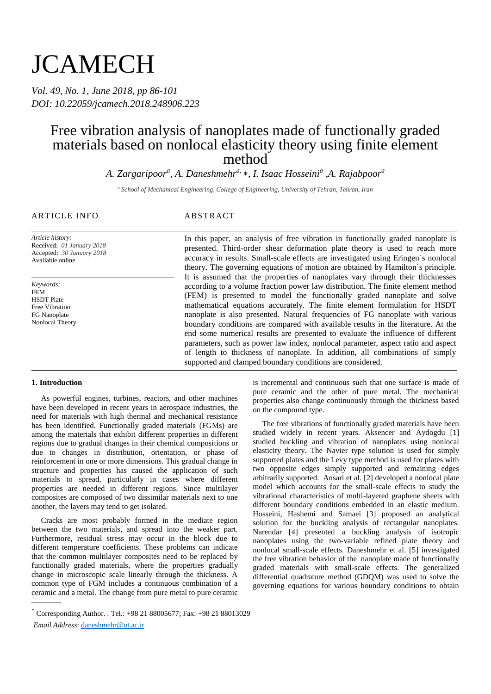# **JCAMECH**

*Vol. 49, No. 1, June 2018, pp 86-101 DOI: 10.22059/jcamech.2018.248906.223*

## Free vibration analysis of nanoplates made of functionally graded materials based on nonlocal elasticity theory using finite element method

*A. Zargaripoor<sup>a</sup> , A. Daneshmehra,* , *I. Isaac Hosseini<sup>a</sup> ,A. Rajabpoor<sup>a</sup>*

*<sup>a</sup> School of Mechanical Engineering, College of Engineering, University of Tehran, Tehran, Iran*

#### ARTICLE INFO ABSTRACT

*Article history:* Received: *01 January 2018* Accepted: *30 January 2018* Available online

*Keywords:* FEM HSDT Plate Free Vibration FG Nanoplate Nonlocal Theory

#### **1. Introduction**

———

As powerful engines, turbines, reactors, and other machines have been developed in recent years in aerospace industries, the need for materials with high thermal and mechanical resistance has been identified. Functionally graded materials (FGMs) are among the materials that exhibit different properties in different regions due to gradual changes in their chemical compositions or due to changes in distribution, orientation, or phase of reinforcement in one or more dimensions. This gradual change in structure and properties has caused the application of such materials to spread, particularly in cases where different properties are needed in different regions. Since multilayer composites are composed of two dissimilar materials next to one another, the layers may tend to get isolated.

Cracks are most probably formed in the mediate region between the two materials, and spread into the weaker part. Furthermore, residual stress may occur in the block due to different temperature coefficients. These problems can indicate that the common multilayer composites need to be replaced by functionally graded materials, where the properties gradually change in microscopic scale linearly through the thickness. A common type of FGM includes a continuous combination of a ceramic and a metal. The change from pure metal to pure ceramic

In this paper, an analysis of free vibration in functionally graded nanoplate is presented. Third-order shear deformation plate theory is used to reach more accuracy in results. Small-scale effects are investigated using Eringen`s nonlocal theory. The governing equations of motion are obtained by Hamilton`s principle. It is assumed that the properties of nanoplates vary through their thicknesses according to a volume fraction power law distribution. The finite element method (FEM) is presented to model the functionally graded nanoplate and solve mathematical equations accurately. The finite element formulation for HSDT nanoplate is also presented. Natural frequencies of FG nanoplate with various boundary conditions are compared with available results in the literature. At the end some numerical results are presented to evaluate the influence of different parameters, such as power law index, nonlocal parameter, aspect ratio and aspect of length to thickness of nanoplate. In addition, all combinations of simply supported and clamped boundary conditions are considered.

> is incremental and continuous such that one surface is made of pure ceramic and the other of pure metal. The mechanical properties also change continuously through the thickness based on the compound type.

> The free vibrations of functionally graded materials have been studied widely in recent years. Aksencer and Aydogdu [1] studied buckling and vibration of nanoplates using nonlocal elasticity theory. The Navier type solution is used for simply supported plates and the Levy type method is used for plates with two opposite edges simply supported and remaining edges arbitrarily supported. Ansari et al. [2] developed a nonlocal plate model which accounts for the small-scale effects to study the vibrational characteristics of multi-layered graphene sheets with different boundary conditions embedded in an elastic medium. Hosseini, Hashemi and Samaei [3] proposed an analytical solution for the buckling analysis of rectangular nanoplates. Narendar [4] presented a buckling analysis of isotropic nanoplates using the two-variable refined plate theory and nonlocal small-scale effects. Daneshmehr et al. [5] investigated the free vibration behavior of the nanoplate made of functionally graded materials with small-scale effects. The generalized differential quadrature method (GDQM) was used to solve the governing equations for various boundary conditions to obtain

Corresponding Author. *.* Tel.: +98 21 88005677; Fax: +98 21 88013029 \* *Email Address*: daneshmehr@ut.ac.ir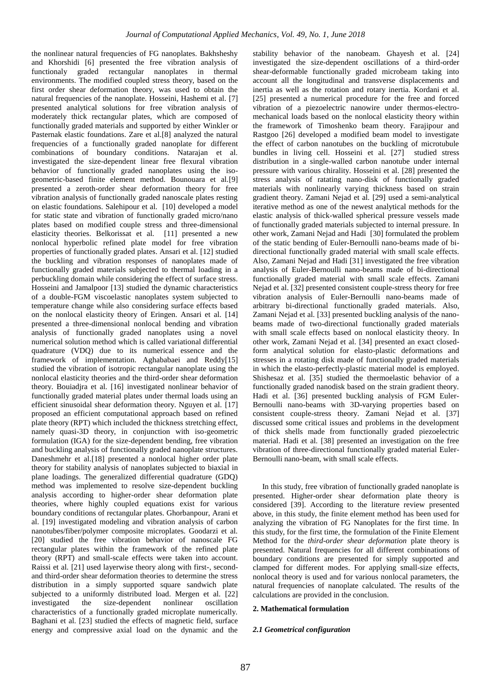the nonlinear natural frequencies of FG nanoplates. Bakhsheshy and Khorshidi [6] presented the free vibration analysis of functionaly graded rectangular nanoplates in thermal environments. The modified coupled stress theory, based on the first order shear deformation theory, was used to obtain the natural frequencies of the nanoplate. Hosseini, Hashemi et al. [7] presented analytical solutions for free vibration analysis of moderately thick rectangular plates, which are composed of functionally graded materials and supported by either Winkler or Pasternak elastic foundations. Zare et al.[8] analyzed the natural frequencies of a functionally graded nanoplate for different combinations of boundary conditions. Natarajan et al. investigated the size-dependent linear free flexural vibration behavior of functionally graded nanoplates using the isogeometric-based finite element method. Bounouara et al.[9] presented a zeroth-order shear deformation theory for free vibration analysis of functionally graded nanoscale plates resting on elastic foundations. Salehipour et al. [10] developed a model for static state and vibration of functionally graded micro/nano plates based on modified couple stress and three-dimensional elasticity theories. Belkorissat et al. [11] presented a new nonlocal hyperbolic refined plate model for free vibration properties of functionally graded plates. Ansari et al. [12] studied the buckling and vibration responses of nanoplates made of functionally graded materials subjected to thermal loading in a perbuckling domain while considering the effect of surface stress. Hosseini and Jamalpoor [13] studied the dynamic characteristics of a double-FGM viscoelastic nanoplates system subjected to temperature change while also considering surface effects based on the nonlocal elasticity theory of Eringen. Ansari et al. [14] presented a three-dimensional nonlocal bending and vibration analysis of functionally graded nanoplates using a novel numerical solution method which is called variational differential quadrature (VDQ) due to its numerical essence and the framework of implementation. Aghababaei and Reddy[15] studied the vibration of isotropic rectangular nanoplate using the nonlocal elasticity theories and the third-order shear deformation theory. Bouiadjra et al. [16] investigated nonlinear behavior of functionally graded material plates under thermal loads using an efficient sinusoidal shear deformation theory. Nguyen et al. [17] proposed an efficient computational approach based on refined plate theory (RPT) which included the thickness stretching effect, namely quasi-3D theory, in conjunction with iso-geometric formulation (IGA) for the size-dependent bending, free vibration and buckling analysis of functionally graded nanoplate structures. Daneshmehr et al.[18] presented a nonlocal higher order plate theory for stability analysis of nanoplates subjected to biaxial in plane loadings. The generalized differential quadrature (GDQ) method was implemented to resolve size-dependent buckling analysis according to higher-order shear deformation plate theories, where highly coupled equations exist for various boundary conditions of rectangular plates. Ghorbanpour, Arani et al. [19] investigated modeling and vibration analysis of carbon nanotubes/fiber/polymer composite microplates. Goodarzi et al. [20] studied the free vibration behavior of nanoscale FG rectangular plates within the framework of the refined plate theory (RPT) and small-scale effects were taken into account. Raissi et al. [21] used layerwise theory along with first-, secondand third-order shear deformation theories to determine the stress distribution in a simply supported square sandwich plate subjected to a uniformly distributed load. Mergen et al. [22] investigated the size-dependent nonlinear oscillation characteristics of a functionally graded microplate numerically. Baghani et al. [23] studied the effects of magnetic field, surface energy and compressive axial load on the dynamic and the

stability behavior of the nanobeam. Ghayesh et al. [24] investigated the size-dependent oscillations of a third-order shear-deformable functionally graded microbeam taking into account all the longitudinal and transverse displacements and inertia as well as the rotation and rotary inertia. Kordani et al. [25] presented a numerical procedure for the free and forced vibration of a piezoelectric nanowire under thermos-electromechanical loads based on the nonlocal elasticity theory within the framework of Timoshenko beam theory. Farajipour and Rastgoo [26] developed a modified beam model to investigate the effect of carbon nanotubes on the buckling of microtubule bundles in living cell. Hosseini et al. [27] studied stress distribution in a single-walled carbon nanotube under internal pressure with various chirality. Hosseini et al. [28] presented the stress analysis of ratating nano-disk of functionally graded materials with nonlinearly varying thickness based on strain gradient theory. Zamani Nejad et al. [29] used a semi-analytical iterative method as one of the newest analytical methods for the elastic analysis of thick-walled spherical pressure vessels made of functionally graded materials subjected to internal pressure. In other work, Zamani Nejad and Hadi [30] formulated the problem of the static bending of Euler-Bernoulli nano-beams made of bidirectional functionally graded material with small scale effects. Also, Zamani Nejad and Hadi [31] investigated the free vibration analysis of Euler-Bernoulli nano-beams made of bi-directional functionally graded material with small scale effects. Zamani Nejad et al. [32] presented consistent couple-stress theory for free vibration analysis of Euler-Bernoulli nano-beams made of arbitrary bi-directional functionally graded materials. Also, Zamani Nejad et al. [33] presented buckling analysis of the nanobeams made of two-directional functionally graded materials with small scale effects based on nonlocal elasticity theory. In other work, Zamani Nejad et al. [34] presented an exact closedform analytical solution for elasto-plastic deformations and stresses in a rotating disk made of functionally graded materials in which the elasto-perfectly-plastic material model is employed. Shishesaz et al. [35] studied the thermoelastic behavior of a functionally graded nanodisk based on the strain gradient theory. Hadi et al. [36] presented buckling analysis of FGM Euler-Bernoulli nano-beams with 3D-varying properties based on consistent couple-stress theory. Zamani Nejad et al. [37] discussed some critical issues and problems in the development of thick shells made from functionally graded piezoelectric material. Hadi et al. [38] presented an investigation on the free vibration of three-directional functionally graded material Euler-Bernoulli nano-beam, with small scale effects.

In this study, free vibration of functionally graded nanoplate is presented. Higher-order shear deformation plate theory is considered [39]. According to the literature review presented above, in this study, the finite element method has been used for analyzing the vibration of FG Nanoplates for the first time. In this study, for the first time, the formulation of the Finite Element Method for the *third-order shear deformation* plate theory is presented. Natural frequencies for all different combinations of boundary conditions are presented for simply supported and clamped for different modes. For applying small-size effects, nonlocal theory is used and for various nonlocal parameters, the natural frequencies of nanoplate calculated. The results of the calculations are provided in the conclusion.

#### **2. Mathematical formulation**

#### *2.1 Geometrical configuration*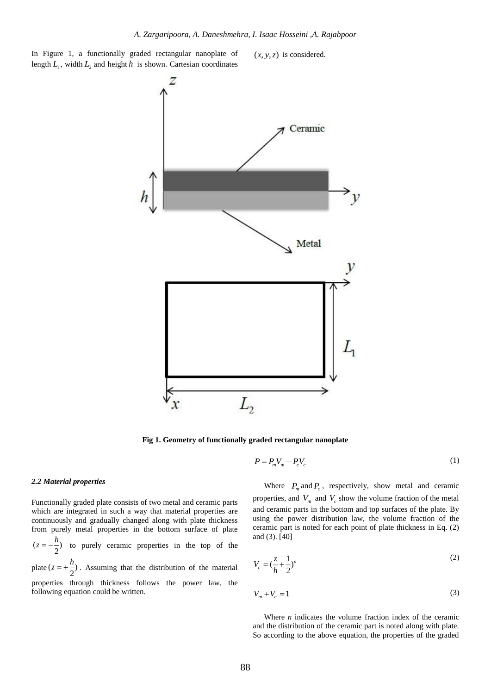In Figure 1, a functionally graded rectangular nanoplate of length  $L_1$ , width  $L_2$  and height h is shown. Cartesian coordinates

 $(x, y, z)$  is considered.



**Fig 1. Geometry of functionally graded rectangular nanoplate**

$$
P = P_m V_m + P_c V_c \tag{1}
$$

#### *2.2 Material properties*

Functionally graded plate consists of two metal and ceramic parts which are integrated in such a way that material properties are continuously and gradually changed along with plate thickness from purely metal properties in the bottom surface of plate  $(z = -\frac{1}{2})$  $z = -\frac{h}{2}$  to purely ceramic properties in the top of the plate  $(z = +\frac{\pi}{2})$  $z = +\frac{h}{2}$ . Assuming that the distribution of the material

properties through thickness follows the power law, the following equation could be written.

Where  $P_m$  and  $P_c$ , respectively, show metal and ceramic properties, and  $V_m$  and  $V_c$  show the volume fraction of the metal and ceramic parts in the bottom and top surfaces of the plate. By using the power distribution law, the volume fraction of the ceramic part is noted for each point of plate thickness in Eq. (2) and (3). [40]

$$
V_c = (\frac{z}{h} + \frac{1}{2})^n
$$
 (2)

$$
V_m + V_c = 1\tag{3}
$$

Where *n* indicates the volume fraction index of the ceramic and the distribution of the ceramic part is noted along with plate. So according to the above equation, the properties of the graded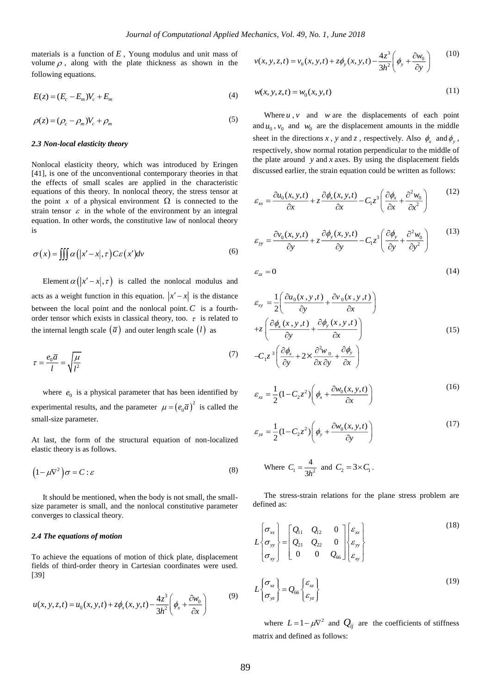materials is a function of  $E$ , Young modulus and unit mass of volume  $\rho$ , along with the plate thickness as shown in the following equations.

$$
E(z) = (E_c - E_m)V_c + E_m
$$
 (4)

$$
\rho(z) = (\rho_c - \rho_m)V_c + \rho_m \tag{5}
$$

#### *2.3 Non-local elasticity theory*

Nonlocal elasticity theory, which was introduced by Eringen [41], is one of the unconventional contemporary theories in that the effects of small scales are applied in the characteristic equations of this theory. In nonlocal theory, the stress tensor at the point x of a physical environment  $\Omega$  is connected to the strain tensor  $\varepsilon$  in the whole of the environment by an integral equation. In other words, the constitutive law of nonlocal theory is

$$
\sigma(x) = \iiint \alpha(|x'-x|, \tau) C \varepsilon(x') dv \tag{6}
$$

Element  $\alpha(|x'-x|, \tau)$  is called the nonlocal modulus and acts as a weight function in this equation.  $|x'-x|$  is the distance between the local point and the nonlocal point.  $C$  is a fourthorder tensor which exists in classical theory, too.  $\tau$  is related to the internal length scale  $(\bar{a})$  and outer length scale  $(l)$  as

$$
\tau = \frac{e_0 \overline{a}}{l} = \sqrt{\frac{\mu}{l^2}}
$$
\n(7)

where  $e_0$  is a physical parameter that has been identified by experimental results, and the parameter  $\mu = (e_0 \overline{a})^2$  is called the small-size parameter.

At last, the form of the structural equation of non-localized elastic theory is as follows.

$$
\left(1 - \mu \nabla^2\right) \sigma = C : \varepsilon \tag{8}
$$

It should be mentioned, when the body is not small, the smallsize parameter is small, and the nonlocal constitutive parameter converges to classical theory.

#### *2.4 The equations of motion*

To achieve the equations of motion of thick plate, displacement fields of third-order theory in Cartesian coordinates were used. [39]

$$
u(x, y, z, t) = u_0(x, y, t) + z\phi_x(x, y, t) - \frac{4z^3}{3h^2} \left(\phi_x + \frac{\partial w_0}{\partial x}\right)
$$
 (9)

$$
v(x, y, z, t) = v_0(x, y, t) + z\phi_y(x, y, t) - \frac{4z^3}{3h^2} \left(\phi_y + \frac{\partial w_0}{\partial y}\right)
$$
 (10)

$$
w(x, y, z, t) = w_0(x, y, t)
$$
\n(11)

Where  $u$ ,  $v$  and  $w$  are the displacements of each point and  $u_0$ ,  $v_0$  and  $w_0$  are the displacement amounts in the middle sheet in the directions x, y and z, respectively. Also  $\phi_x$  and  $\phi_y$ , respectively, show normal rotation perpendicular to the middle of the plate around  $y$  and  $x$  axes. By using the displacement fields discussed earlier, the strain equation could be written as follows:

$$
\varepsilon_{xx} = \frac{\partial u_0(x, y, t)}{\partial x} + z \frac{\partial \phi_x(x, y, t)}{\partial x} - C_1 z^3 \left( \frac{\partial \phi_x}{\partial x} + \frac{\partial^2 w_0}{\partial x^2} \right)
$$
(12)

$$
\varepsilon_{yy} = \frac{\partial v_0(x, y, t)}{\partial y} + z \frac{\partial \phi_y(x, y, t)}{\partial y} - C_1 z^3 \left( \frac{\partial \phi_y}{\partial y} + \frac{\partial^2 w_0}{\partial y^2} \right)
$$
(13)

$$
\varepsilon_{zz} = 0 \tag{14}
$$

$$
\varepsilon_{xy} = \frac{1}{2} \left( \frac{\partial u_0(x, y, t)}{\partial y} + \frac{\partial v_0(x, y, t)}{\partial x} \right)
$$
  
+
$$
z \left( \frac{\partial \phi_x(x, y, t)}{\partial y} + \frac{\partial \phi_y(x, y, t)}{\partial x} \right)
$$
  
-
$$
C_1 z^3 \left( \frac{\partial \phi_x}{\partial y} + 2 \times \frac{\partial^2 w_0}{\partial x \partial y} + \frac{\partial \phi_y}{\partial x} \right)
$$
 (15)

$$
\varepsilon_{xz} = \frac{1}{2} (1 - C_2 z^2) \left( \phi_x + \frac{\partial w_0(x, y, t)}{\partial x} \right)
$$
(16)

$$
\varepsilon_{yz} = \frac{1}{2} (1 - C_2 z^2) \left( \phi_y + \frac{\partial w_0(x, y, t)}{\partial y} \right)
$$
(17)

Where 
$$
C_1 = \frac{4}{3h^2}
$$
 and  $C_2 = 3 \times C_1$ .

The stress-strain relations for the plane stress problem are defined as:

$$
L\begin{Bmatrix} \sigma_{xx} \\ \sigma_{yy} \\ \sigma_{xy} \end{Bmatrix} = \begin{bmatrix} Q_{11} & Q_{12} & 0 \\ Q_{21} & Q_{22} & 0 \\ 0 & 0 & Q_{66} \end{bmatrix} \begin{bmatrix} \varepsilon_{xx} \\ \varepsilon_{yy} \\ \varepsilon_{xy} \end{bmatrix}
$$
(18)  

$$
L\begin{Bmatrix} \sigma_{xz} \\ \sigma_{yz} \end{Bmatrix} = Q_{66} \begin{Bmatrix} \varepsilon_{xz} \\ \varepsilon_{yz} \end{Bmatrix}
$$
(19)

where  $L = 1 - \mu \nabla^2$  and  $Q_{ij}$  are the coefficients of stiffness matrix and defined as follows: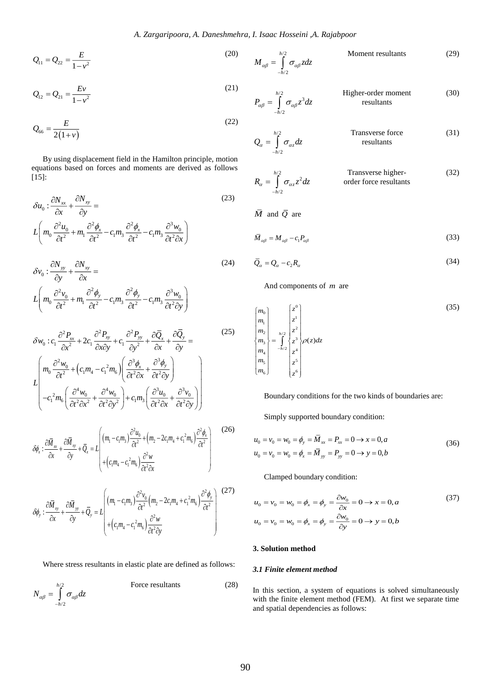$$
Q_{11} = Q_{22} = \frac{E}{1 - v^2}
$$
 (20)

$$
Q_{12} = Q_{21} = \frac{Ev}{1 - v^2}
$$
 (21)

$$
Q_{66} = \frac{E}{2(1+\nu)}\tag{22}
$$

By using displacement field in the Hamilton principle, motion equations based on forces and moments are derived as follows [15]:

$$
\delta u_0 : \frac{\partial N_{xx}}{\partial x} + \frac{\partial N_{xy}}{\partial y} =
$$
\n
$$
L \left( m_0 \frac{\partial^2 u_0}{\partial t^2} + m_1 \frac{\partial^2 \phi_x}{\partial t^2} - c_1 m_3 \frac{\partial^2 \phi_x}{\partial t^2} - c_1 m_3 \frac{\partial^3 w_0}{\partial t^2 \partial x} \right)
$$
\n(23)

$$
\delta v_0 : \frac{\partial N_{yy}}{\partial y} + \frac{\partial N_{xy}}{\partial x} =
$$
\n
$$
L \left( m_0 \frac{\partial^2 v_0}{\partial t^2} + m_1 \frac{\partial^2 \phi_y}{\partial t^2} - c_1 m_3 \frac{\partial^2 \phi_y}{\partial t^2} - c_1 m_3 \frac{\partial^3 w_0}{\partial t^2 \partial y} \right)
$$
\n(24)

$$
Q_{11} = Q_{21} = \frac{Ev}{1 - v^2}
$$
\n
$$
Q_{12} = Q_{21} = \frac{Ev}{1 - v^2}
$$
\n
$$
Q_{66} = \frac{E}{2(1 + v)}
$$
\nBy using displacement field in the Hamilton principle, motion  
equations based on forces and moments are derived as follows\n
$$
\delta u_0 : \frac{\partial N_x}{\partial x} + \frac{\partial N_y}{\partial y} =
$$
\n
$$
L\left(m_0 \frac{\partial^2 u_0}{\partial t^2} + m_1 \frac{\partial^2 \phi}{\partial t^2} - c_1 m_3 \frac{\partial^2 \phi}{\partial t^2} - c_1 m_3 \frac{\partial^3 w_0}{\partial t^2 \partial x}\right)
$$
\n
$$
\delta v_0 : \frac{\partial N_y}{\partial y} + \frac{\partial N_{xy}}{\partial x} =
$$
\n
$$
L\left(m_0 \frac{\partial^2 v_0}{\partial t^2} + m_1 \frac{\partial^2 \phi}{\partial t^2} - c_1 m_3 \frac{\partial^2 \phi}{\partial t^2} - c_1 m_3 \frac{\partial^3 w_0}{\partial t^2 \partial y}\right)
$$
\n
$$
\delta v_0 : c_1 \frac{\partial^2 V_{2x}}{\partial t^2} + m_1 \frac{\partial^2 \phi}{\partial t^2} - c_1 m_3 \frac{\partial^2 \phi}{\partial t^2} - c_1 m_3 \frac{\partial^3 w_0}{\partial t^2 \partial y}\right)
$$
\n
$$
\delta w_0 : c_1 \frac{\partial^2 V_{2x}}{\partial t^2} + 2c_1 \frac{\partial^2 P_{2y}}{\partial x \partial y} + c_1 \frac{\partial^2 P_{2y}}{\partial t^2} + \frac{\partial \overline{Q}_y}{\partial t^2 \partial x} + \frac{\partial \overline{Q}_y}{\partial t^2 \partial y}\right)
$$
\n
$$
\delta w_0 : c_1 \frac{\partial^2 w_0}{\partial t^2} + (c_1 m_4 - c_1^2 m_6) \left(\frac{\partial^2 \phi_x}{\partial t^2 \partial x} + \frac{\partial^3 \phi_y}{\partial t^2 \partial y}\right)
$$
\n
$$
\delta \phi_1 : \frac{\partial \overline{M}_{yx}}{\partial t^2} + \left(c_1 m_4 - c_1^2 m_6\right
$$

$$
\delta \phi_x : \frac{\partial \overline{M}_{xx}}{\partial x} + \frac{\partial \overline{M}_{xy}}{\partial y} + \overline{Q}_x = L \left( (m_1 - c_1 m_3) \frac{\partial^2 u_0}{\partial t^2} + (m_2 - 2c_1 m_4 + c_1^2 m_6) \frac{\partial^2 \phi_x}{\partial t^2} \right) \tag{26}
$$

$$
\delta \phi_y : \frac{\partial \overline{M}_{xy}}{\partial x} + \frac{\partial \overline{M}_{yy}}{\partial y} + \overline{Q}_y = L \left[ \left( m_1 - c_1 m_3 \right) \frac{\partial^2 v_0}{\partial t^2} \left( m_2 - 2 c_1 m_4 + c_1^2 m_6 \right) \frac{\partial^2 \phi_y}{\partial t^2} \right]^{(27)}
$$

Where stress resultants in elastic plate are defined as follows:

$$
N_{\alpha\beta} = \int_{-h/2}^{h/2} \sigma_{\alpha\beta} dz
$$
 Force resultants (28)

$$
M_{\alpha\beta} = \int_{-h/2}^{h/2} \sigma_{\alpha\beta} z dz
$$
 Moment resultants (29)

(30)

$$
P_{\alpha\beta} = \int_{-h/2}^{h/2} \sigma_{\alpha\beta} z^3 dz
$$
 Higher-order moment  
results

$$
Q_{\alpha} = \int_{-h/2}^{h/2} \sigma_{\alpha z} dz
$$
 Transverse force  
results (31)

$$
R_{\alpha} = \int_{-h/2}^{h/2} \sigma_{\alpha z} z^2 dz
$$
 Transverse higher-order force resultants (32)

*M* and  $\overline{Q}$  are

$$
\overline{M}_{\alpha\beta} = M_{\alpha\beta} - c_1 P_{\alpha\beta} \tag{33}
$$

$$
\overline{Q}_{\alpha} = Q_{\alpha} - c_2 R_{\alpha} \tag{34}
$$

And components of *<sup>m</sup>* are

$$
\begin{cases}\nm_0 \\
m_1 \\
m_2 \\
m_3 \\
m_4 \\
m_5 \\
m_6\n\end{cases} = \int_{-h/2}^{h/2} \begin{cases}\nz^0 \\
z^1 \\
z^2 \\
z^3 \\
z^4 \\
z^5 \\
z^6\n\end{cases}
$$
\n(35)

Boundary conditions for the two kinds of boundaries are:

Simply supported boundary condition:

$$
u_0 = v_0 = w_0 = \phi_y = \overline{M}_{xx} = P_{xx} = 0 \to x = 0, a
$$
  
\n
$$
u_0 = v_0 = w_0 = \phi_x = \overline{M}_{yy} = P_{yy} = 0 \to y = 0, b
$$
\n(36)

Clamped boundary condition:

$$
u_0 = v_0 = w_0 = \phi_x = \phi_y = \frac{\partial w_0}{\partial x} = 0 \to x = 0, a
$$
  
\n
$$
u_0 = v_0 = w_0 = \phi_x = \phi_y = \frac{\partial w_0}{\partial y} = 0 \to y = 0, b
$$
\n(37)

#### **3. Solution method**

#### *3.1 Finite element method*

In this section, a system of equations is solved simultaneously with the finite element method (FEM). At first we separate time and spatial dependencies as follows: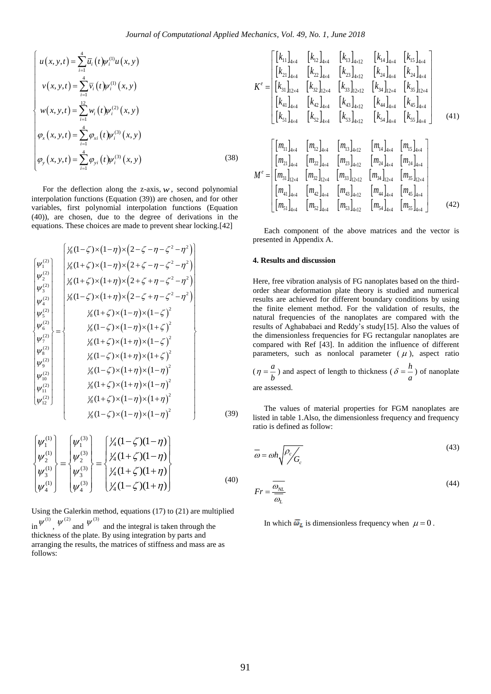$$
\begin{cases}\n u(x, y, t) = \sum_{i=1}^{4} \overline{u}_{i} (t) \psi_{i}^{(1)} u(x, y) \\
 v(x, y, t) = \sum_{i=1}^{4} \overline{v}_{i} (t) \psi_{i}^{(1)} (x, y) \\
 w(x, y, t) = \sum_{i=1}^{12} w_{i} (t) \psi_{i}^{(2)} (x, y) \\
 \varphi_{x} (x, y, t) = \sum_{i=1}^{4} \varphi_{xi} (t) \psi_{i}^{(3)} (x, y) \\
 \varphi_{y} (x, y, t) = \sum_{i=1}^{4} \varphi_{yi} (t) \psi_{i}^{(3)} (x, y)\n\end{cases}
$$
\n(38)

For the deflection along the z-axis,  $w$ , second polynomial interpolation functions (Equation (39)) are chosen, and for other variables, first polynomial interpolation functions (Equation (40)), are chosen, due to the degree of derivations in the equations. These choices are made to prevent shear locking.[42]

$$
\begin{bmatrix}\n\psi_1^{(2)} \\
\psi_2^{(2)} \\
\psi_3^{(2)} \\
\psi_4^{(2)} \\
\psi_5^{(2)} \\
\psi_6^{(2)} \\
\psi_7^{(2)} \\
\psi_8^{(2)} \\
\psi_9^{(2)} \\
\psi_1^{(2)} \\
\psi_2^{(2)} \\
\psi_4^{(2)} \\
\psi_5^{(2)} \\
\psi_6^{(2)} \\
\psi_7^{(2)} \\
\psi_8^{(2)} \\
\psi_9^{(2)} \\
\psi_1^{(2)} \\
\psi_1^{(2)} \\
\psi_1^{(2)} \\
\psi_1^{(2)} \\
\psi_2^{(2)} \\
\psi_1^{(2)} \\
\psi_1^{(2)} \\
\psi_2^{(2)} \\
\psi_1^{(2)} \\
\psi_2^{(2)} \\
\psi_3^{(2)} \\
\psi_4^{(2)} \\
\psi_5^{(1)} \\
\psi_6^{(1)} \\
\psi_7^{(2)} \\
\psi_8^{(1)} \\
\psi_9^{(1)} \\
\psi_1^{(2)} \\
\psi_2^{(2)} \\
\psi_3^{(2)} \\
\psi_4^{(1)} \\
\psi_5^{(1)} \\
\psi_6^{(1)} \\
\psi_7^{(1)} \\
\psi_8^{(1)} \\
\psi_9^{(1)} \\
\psi_1^{(2)} \\
\psi_2^{(2)} \\
\psi_3^{(1)} \\
\psi_4^{(1)} \\
\psi_5^{(1)} \\
\psi_6^{(1)} \\
\psi_7^{(2)} \\
\psi_8^{(1)} \\
\psi_9^{(1)} \\
\psi_1^{(2)} \\
\psi_2^{(2)} \\
\psi_3^{(1)} \\
\psi_4^{(1)} \\
\psi_5^{(1)} \\
\psi_6^{(1)} \\
\psi_7^{(1)} \\
\psi_8^{(1)} \\
\psi_9^{(1)} \\
\psi_1^{(2)} \\
\psi_1^{(2)} \\
\psi_2^{(1)} \\
\psi_3^{(1)} \\
\psi_4^{(1)} \\
\psi_5^{(1)} \\
\psi_6^{(1)} \\
\psi_7^{(1)} \\
\psi_8^{(1)} \\
\psi_9^{(1)} \\
\psi_9^{(1)} \\
\psi_1^{(2)} \\
\psi_1^{(2)} \\
\psi_2^{(1)} \\
\psi_3^{(1)} \\
\psi_4^{(1)} \\
\psi_5^{(1)} \\
\psi_6^{(1)} \\
\psi_7^{(1)} \\
\psi_8^{(1)} \\
\psi_9^{(1)} \\
\psi_9^{(1)} \\
\psi_1^{(
$$

$$
\begin{Bmatrix} \psi_1^{(1)} \\ \psi_2^{(1)} \\ \psi_3^{(1)} \\ \psi_4^{(1)} \end{Bmatrix} = \begin{Bmatrix} \psi_1^{(3)} \\ \psi_2^{(3)} \\ \psi_3^{(3)} \\ \psi_4^{(3)} \end{Bmatrix} = \begin{Bmatrix} \frac{1}{4} (1 - \zeta)(1 - \eta) \\ \frac{1}{4} (1 + \zeta)(1 - \eta) \\ \frac{1}{4} (1 + \zeta)(1 + \eta) \\ \frac{1}{4} (1 - \zeta)(1 + \eta) \end{Bmatrix}
$$
(40)

Using the Galerkin method, equations (17) to (21) are multiplied in  $\psi^{(1)}$ ,  $\psi^{(2)}$  and  $\psi^{(3)}$  and the integral is taken through the thickness of the plate. By using integration by parts and

arranging the results, the matrices of stiffness and mass are as follows:

$$
K^{e} = \begin{bmatrix} [k_{11}]_{4\times4} & [k_{12}]_{4\times4} & [k_{13}]_{4\times12} & [k_{14}]_{4\times4} & [k_{15}]_{4\times4} \\ [k_{21}]_{4\times4} & [k_{22}]_{4\times4} & [k_{23}]_{4\times12} & [k_{24}]_{4\times4} & [k_{24}]_{4\times4} \\ [k_{31}]_{12\times4} & [k_{32}]_{12\times4} & [k_{33}]_{12\times12} & [k_{34}]_{12\times4} & [k_{35}]_{12\times4} \\ [k_{41}]_{4\times4} & [k_{42}]_{4\times4} & [k_{43}]_{4\times12} & [k_{44}]_{4\times4} & [k_{45}]_{4\times4} \\ [k_{51}]_{4\times4} & [k_{52}]_{4\times4} & [k_{53}]_{4\times12} & [k_{54}]_{4\times4} & [k_{55}]_{4\times4} \end{bmatrix}
$$
\n
$$
M^{e} = \begin{bmatrix} [m_{11}]_{4\times4} & [m_{12}]_{4\times4} & [m_{13}]_{4\times12} & [m_{14}]_{4\times4} & [m_{15}]_{4\times4} \\ [m_{21}]_{4\times4} & [m_{22}]_{4\times4} & [m_{23}]_{4\times12} & [m_{24}]_{4\times4} & [m_{24}]_{4\times4} \\ [m_{31}]_{12\times4} & [m_{32}]_{12\times4} & [m_{33}]_{12\times12} & [m_{34}]_{12\times4} & [m_{35}]_{12\times4} \\ [m_{41}]_{4\times4} & [m_{42}]_{4\times4} & [m_{43}]_{4\times12} & [m_{44}]_{4\times4} & [m_{45}]_{4\times4} \\ [m_{51}]_{4\times4} & [m_{52}]_{4\times4} & [m_{53}]_{4\times12} & [m_{54}]_{4\times4} & [m_{55}]_{4\times4} \end{bmatrix}
$$
\n(42)

Each component of the above matrices and the vector is presented in Appendix A.

#### **4. Results and discussion**

Here, free vibration analysis of FG nanoplates based on the thirdorder shear deformation plate theory is studied and numerical results are achieved for different boundary conditions by using the finite element method. For the validation of results, the natural frequencies of the nanoplates are compared with the results of Aghababaei and Reddy's study[15]. Also the values of the dimensionless frequencies for FG rectangular nanoplates are compared with Ref [43]. In addition the influence of different parameters, such as nonlocal parameter  $(\mu)$ , aspect ratio  $(\eta = \frac{a}{b})$  $\eta = \frac{a}{b}$ ) and aspect of length to thickness ( $\delta = \frac{h}{a}$  $\delta = \frac{a}{a}$ ) of nanoplate

are assessed.

The values of material properties for FGM nanoplates are listed in table 1.Also, the dimensionless frequency and frequency ratio is defined as follow:

$$
\overline{\omega} = \omega h \sqrt{\frac{\rho_c}{G_c}} \tag{43}
$$

$$
Fr = \frac{\overline{\omega_{NL}}}{\overline{\omega_L}}\tag{44}
$$

In which  $\overline{\omega}_L$  is dimensionless frequency when  $\mu = 0$ .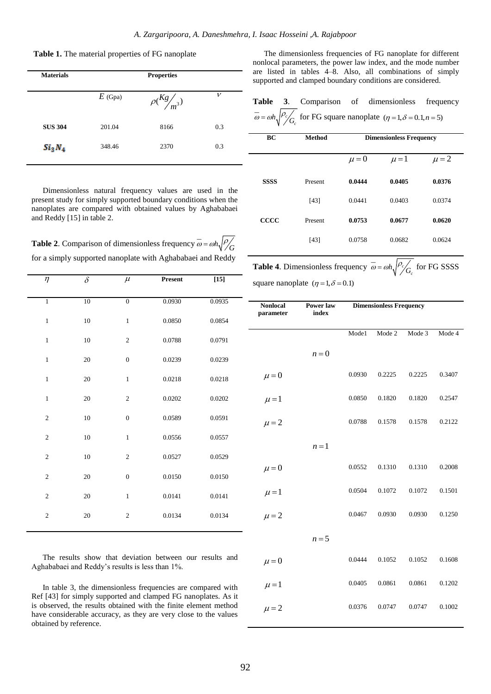**Table 1.** The material properties of FG nanoplate

| <b>Materials</b>               | <b>Properties</b> |                        |     |  |  |  |
|--------------------------------|-------------------|------------------------|-----|--|--|--|
|                                | $E$ (Gpa)         | $\rho(\frac{Kg}{m^3})$ | v   |  |  |  |
| <b>SUS 304</b>                 | 201.04            | 8166                   | 0.3 |  |  |  |
| Si <sub>3</sub> N <sub>4</sub> | 348.46            | 2370                   | 0.3 |  |  |  |

Dimensionless natural frequency values are used in the present study for simply supported boundary conditions when the nanoplates are compared with obtained values by Aghababaei and Reddy [15] in table 2.

**Table 2.** Comparison of dimensionless frequency  $\omega = \omega h \sqrt{\frac{\rho}{G}}$ for a simply supported nanoplate with Aghababaei and Reddy

| η              | $\delta$ | $\mu$            | Present | $[15]$ |
|----------------|----------|------------------|---------|--------|
|                |          |                  |         |        |
| $\overline{1}$ | 10       | $\overline{0}$   | 0.0930  | 0.0935 |
| $\mathbf{1}$   | 10       | $\mathbf 1$      | 0.0850  | 0.0854 |
| $\mathbf{1}$   | 10       | $\sqrt{2}$       | 0.0788  | 0.0791 |
| $\mathbf{1}$   | 20       | $\overline{0}$   | 0.0239  | 0.0239 |
| $\mathbf{1}$   | 20       | $\mathbf 1$      | 0.0218  | 0.0218 |
| $\mathbf{1}$   | 20       | $\sqrt{2}$       | 0.0202  | 0.0202 |
| $\sqrt{2}$     | 10       | $\boldsymbol{0}$ | 0.0589  | 0.0591 |
| $\overline{c}$ | 10       | $\mathbf{1}$     | 0.0556  | 0.0557 |
| $\sqrt{2}$     | $10\,$   | $\sqrt{2}$       | 0.0527  | 0.0529 |
| $\sqrt{2}$     | $20\,$   | $\boldsymbol{0}$ | 0.0150  | 0.0150 |
| $\mathfrak{2}$ | $20\,$   | $\mathbf 1$      | 0.0141  | 0.0141 |
| $\overline{c}$ | 20       | $\mathbf{2}$     | 0.0134  | 0.0134 |

The results show that deviation between our results and Aghababaei and Reddy's results is less than 1%.

In table 3, the dimensionless frequencies are compared with Ref [43] for simply supported and clamped FG nanoplates. As it is observed, the results obtained with the finite element method have considerable accuracy, as they are very close to the values obtained by reference.

The dimensionless frequencies of FG nanoplate for different nonlocal parameters, the power law index, and the mode number are listed in tables 4–8. Also, all combinations of simply supported and clamped boundary conditions are considered.

**Table 3**. Comparison of dimensionless frequency *c*  $\overline{\omega} = \omega h \sqrt{\frac{\rho_c}{G_c}}$  for FG square nanoplate  $(\eta = 1, \delta = 0.1, n = 5)$ 

| ВC          | Method  | <b>Dimensionless Frequency</b> |           |           |  |  |
|-------------|---------|--------------------------------|-----------|-----------|--|--|
|             |         |                                |           |           |  |  |
|             |         | $\mu = 0$                      | $\mu = 1$ | $\mu = 2$ |  |  |
|             |         |                                |           |           |  |  |
| <b>SSSS</b> | Present | 0.0444                         | 0.0405    | 0.0376    |  |  |
|             |         |                                |           |           |  |  |
|             | [43]    | 0.0441                         | 0.0403    | 0.0374    |  |  |
| $\bf CCCC$  | Present | 0.0753                         | 0.0677    | 0.0620    |  |  |
|             |         |                                |           |           |  |  |
|             | $[43]$  | 0.0758                         | 0.0682    | 0.0624    |  |  |
|             |         |                                |           |           |  |  |

**Table 4.** Dimensionless frequency  $\omega = \omega h \sqrt{\frac{\rho}{g}}$  $\overline{\omega} = \omega h \sqrt{\frac{\rho_c}{G_c}}$  for FG SSSS square nanoplate  $(\eta = 1, \delta = 0.1)$ 

| <b>Nonlocal</b><br>parameter | Power law<br>index | <b>Dimensionless Frequency</b> |        |        |        |
|------------------------------|--------------------|--------------------------------|--------|--------|--------|
|                              |                    | Mode1                          | Mode 2 | Mode 3 | Mode 4 |
|                              | $n=0$              |                                |        |        |        |
| $\mu = 0$                    |                    | 0.0930                         | 0.2225 | 0.2225 | 0.3407 |
| $\mu = 1$                    |                    | 0.0850                         | 0.1820 | 0.1820 | 0.2547 |
| $\mu = 2$                    |                    | 0.0788                         | 0.1578 | 0.1578 | 0.2122 |
|                              | $n=1$              |                                |        |        |        |
| $\mu = 0$                    |                    | 0.0552                         | 0.1310 | 0.1310 | 0.2008 |
| $\mu = 1$                    |                    | 0.0504                         | 0.1072 | 0.1072 | 0.1501 |
| $\mu = 2$                    |                    | 0.0467                         | 0.0930 | 0.0930 | 0.1250 |
|                              | $n=5$              |                                |        |        |        |
| $\mu = 0$                    |                    | 0.0444                         | 0.1052 | 0.1052 | 0.1608 |
| $\mu = 1$                    |                    | 0.0405                         | 0.0861 | 0.0861 | 0.1202 |
| $\mu = 2$                    |                    | 0.0376                         | 0.0747 | 0.0747 | 0.1002 |
|                              |                    |                                |        |        |        |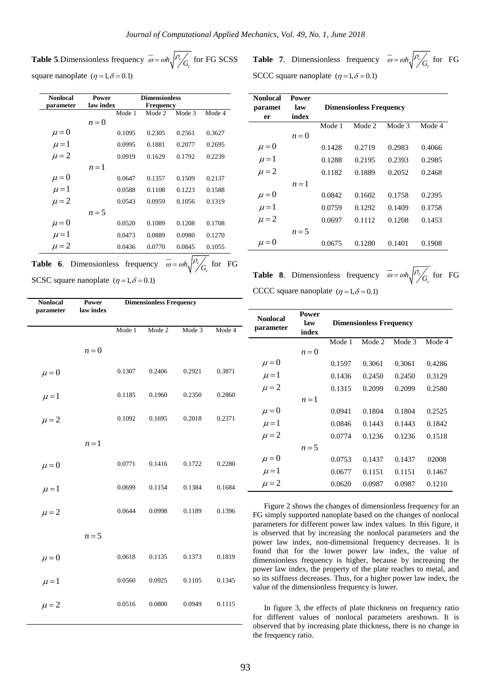**Table 5.**Dimensionless frequency  $\omega = \omega h \sqrt{\frac{\rho_c}{g}}$  $\overline{\omega} = \omega h \sqrt{\frac{\rho_c}{G_c}}$  for FG SCSS square nanoplate  $(\eta = 1, \delta = 0.1)$ 

| <b>Nonlocal</b>                     | Power     |        | <b>Dimensionless</b> |        |        |  |
|-------------------------------------|-----------|--------|----------------------|--------|--------|--|
| parameter                           | law index |        | Frequency            |        |        |  |
|                                     |           | Mode 1 | Mode 2               | Mode 3 | Mode 4 |  |
|                                     | $n=0$     |        |                      |        |        |  |
| $\mu = 0$<br>$\mu = 1$              |           | 0.1095 | 0.2305               | 0.2561 | 0.3627 |  |
|                                     |           | 0.0995 | 0.1881               | 0.2077 | 0.2695 |  |
| $\mu = 2$                           |           | 0.0919 | 0.1629               | 0.1792 | 0.2239 |  |
|                                     | $n=1$     |        |                      |        |        |  |
|                                     |           | 0.0647 | 0.1357               | 0.1509 | 0.2137 |  |
| $\mu = 0$<br>$\mu = 1$              |           | 0.0588 | 0.1108               | 0.1223 | 0.1588 |  |
| $\mu = 2$                           |           | 0.0543 | 0.0959               | 0.1056 | 0.1319 |  |
|                                     | $n=5$     |        |                      |        |        |  |
|                                     |           | 0.0520 | 0.1089               | 0.1208 | 0.1708 |  |
| $\mu = 0$<br>$\mu = 1$<br>$\mu = 2$ |           | 0.0473 | 0.0889               | 0.0980 | 0.1270 |  |
|                                     |           | 0.0436 | 0.0770               | 0.0845 | 0.1055 |  |

**Table 7.** Dimensionless frequency  $\omega = \omega h_s \rho$  $\overline{\omega} = \omega h \sqrt{\frac{\rho_c}{G_c}}$  for FG SCCC square nanoplate  $(\eta = 1, \delta = 0.1)$ 

| Nonlocal<br>paramet | Power<br>law | <b>Dimensionless Frequency</b> |        |        |        |  |
|---------------------|--------------|--------------------------------|--------|--------|--------|--|
| er                  | index        |                                |        |        |        |  |
|                     |              | Mode 1                         | Mode 2 | Mode 3 | Mode 4 |  |
|                     | $n=0$        |                                |        |        |        |  |
| $\mu = 0$           |              | 0.1428                         | 0.2719 | 0.2983 | 0.4066 |  |
| $\mu = 1$           |              | 0.1288                         | 0.2195 | 0.2393 | 0.2985 |  |
| $\mu = 2$           |              | 0.1182                         | 0.1889 | 0.2052 | 0.2468 |  |
|                     | $n=1$        |                                |        |        |        |  |
| $\mu = 0$           |              | 0.0842                         | 0.1602 | 0.1758 | 0.2395 |  |
| $\mu = 1$           |              | 0.0759                         | 0.1292 | 0.1409 | 0.1758 |  |
| $\mu = 2$           |              | 0.0697                         | 0.1112 | 0.1208 | 0.1453 |  |
|                     | $n=5$        |                                |        |        |        |  |
| $\mu = 0$           |              | 0.0675                         | 0.1280 | 0.1401 | 0.1908 |  |

**Table 6.** Dimensionless frequency  $\omega = \omega h_s \Big|_{s}^{p_c}$ SCSC square nanoplate  $(\eta = 1, \delta = 0.1)$ 

| <b>Nonlocal</b><br>parameter | Power<br>law index | <b>Dimensionless Frequency</b> |        |        |        |
|------------------------------|--------------------|--------------------------------|--------|--------|--------|
|                              |                    | Mode 1                         | Mode 2 | Mode 3 | Mode 4 |
|                              | $n=0$              |                                |        |        |        |
| $\mu = 0$                    |                    | 0.1307                         | 0.2406 | 0.2921 | 0.3871 |
| $\mu = 1$                    |                    | 0.1185                         | 0.1960 | 0.2350 | 0.2860 |
| $\mu = 2$                    |                    | 0.1092                         | 0.1695 | 0.2018 | 0.2371 |
|                              | $n=1$              |                                |        |        |        |
| $\mu = 0$                    |                    | 0.0771                         | 0.1416 | 0.1722 | 0.2280 |
| $\mu = 1$                    |                    | 0.0699                         | 0.1154 | 0.1384 | 0.1684 |
| $\mu = 2$                    |                    | 0.0644                         | 0.0998 | 0.1189 | 0.1396 |
|                              | $n=5$              |                                |        |        |        |
| $\mu = 0$                    |                    | 0.0618                         | 0.1135 | 0.1373 | 0.1819 |
| $\mu = 1$                    |                    | 0.0560                         | 0.0925 | 0.1105 | 0.1345 |
| $\mu = 2$                    |                    | 0.0516                         | 0.0800 | 0.0949 | 0.1115 |
|                              |                    |                                |        |        |        |

**Table 8.** Dimensionless frequency  $\omega = \omega h_s \rho_g$  $\overline{\omega} = \omega h \sqrt{\frac{\rho_c}{G_c}}$  for FG CCCC square nanoplate  $(\eta = 1, \delta = 0.1)$ 

| <b>Nonlocal</b><br>parameter | <b>Power</b><br>law<br>index | <b>Dimensionless Frequency</b> |        |        |        |  |
|------------------------------|------------------------------|--------------------------------|--------|--------|--------|--|
|                              |                              | Mode 1                         | Mode 2 | Mode 3 | Mode 4 |  |
|                              | $n=0$                        |                                |        |        |        |  |
| $\mu = 0$                    |                              | 0.1597                         | 0.3061 | 0.3061 | 0.4286 |  |
| $\mu = 1$                    |                              | 0.1436                         | 0.2450 | 0.2450 | 0.3129 |  |
| $\mu = 2$                    |                              | 0.1315                         | 0.2099 | 0.2099 | 0.2580 |  |
|                              | $n=1$                        |                                |        |        |        |  |
| $\mu = 0$                    |                              | 0.0941                         | 0.1804 | 0.1804 | 0.2525 |  |
| $\mu = 1$                    |                              | 0.0846                         | 0.1443 | 0.1443 | 0.1842 |  |
| $\mu = 2$                    |                              | 0.0774                         | 0.1236 | 0.1236 | 0.1518 |  |
|                              | $n=5$                        |                                |        |        |        |  |
| $\mu = 0$                    |                              | 0.0753                         | 0.1437 | 0.1437 | 02008  |  |
| $\mu = 1$                    |                              | 0.0677                         | 0.1151 | 0.1151 | 0.1467 |  |
| $\mu = 2$                    |                              | 0.0620                         | 0.0987 | 0.0987 | 0.1210 |  |

Figure 2 shows the changes of dimensionless frequency for an FG simply supported nanoplate based on the changes of nonlocal parameters for different power law index values. In this figure, it is observed that by increasing the nonlocal parameters and the power law index, non-dimensional frequency decreases. It is found that for the lower power law index, the value of dimensionless frequency is higher, because by increasing the power law index, the property of the plate reaches to metal, and so its stiffness decreases. Thus, for a higher power law index, the value of the dimensionless frequency is lower.

In figure 3, the effects of plate thickness on frequency ratio for different values of nonlocal parameters areshown. It is observed that by increasing plate thickness, there is no change in the frequency ratio.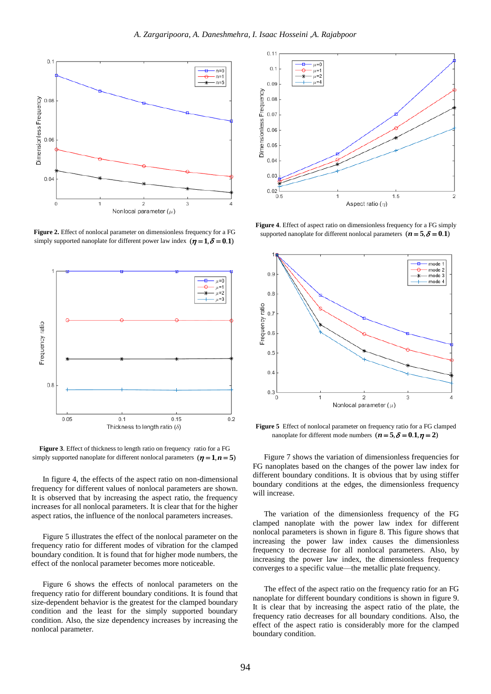

**Figure 2.** Effect of nonlocal parameter on dimensionless frequency for a FG simply supported nanoplate for different power law index  $(\eta = 1, \delta = 0.1)$ 



**Figure 3**. Effect of thickness to length ratio on frequency ratio for a FG simply supported nanoplate for different nonlocal parameters  $(\eta = 1, n = 5)$ 

In figure 4, the effects of the aspect ratio on non-dimensional frequency for different values of nonlocal parameters are shown. It is observed that by increasing the aspect ratio, the frequency increases for all nonlocal parameters. It is clear that for the higher aspect ratios, the influence of the nonlocal parameters increases.

Figure 5 illustrates the effect of the nonlocal parameter on the frequency ratio for different modes of vibration for the clamped boundary condition. It is found that for higher mode numbers, the effect of the nonlocal parameter becomes more noticeable.

Figure 6 shows the effects of nonlocal parameters on the frequency ratio for different boundary conditions. It is found that size-dependent behavior is the greatest for the clamped boundary condition and the least for the simply supported boundary condition. Also, the size dependency increases by increasing the nonlocal parameter.



**Figure 4**. Effect of aspect ratio on dimensionless frequency for a FG simply supported nanoplate for different nonlocal parameters  $(n = 5, \delta = 0.1)$ 



**Figure 5** Effect of nonlocal parameter on frequency ratio for a FG clamped nanoplate for different mode numbers  $(n = 5, \delta = 0.1, \eta = 2)$ 

Figure 7 shows the variation of dimensionless frequencies for FG nanoplates based on the changes of the power law index for different boundary conditions. It is obvious that by using stiffer boundary conditions at the edges, the dimensionless frequency will increase.

The variation of the dimensionless frequency of the FG clamped nanoplate with the power law index for different nonlocal parameters is shown in figure 8. This figure shows that increasing the power law index causes the dimensionless frequency to decrease for all nonlocal parameters. Also, by increasing the power law index, the dimensionless frequency converges to a specific value—the metallic plate frequency.

The effect of the aspect ratio on the frequency ratio for an FG nanoplate for different boundary conditions is shown in figure 9. It is clear that by increasing the aspect ratio of the plate, the frequency ratio decreases for all boundary conditions. Also, the effect of the aspect ratio is considerably more for the clamped boundary condition.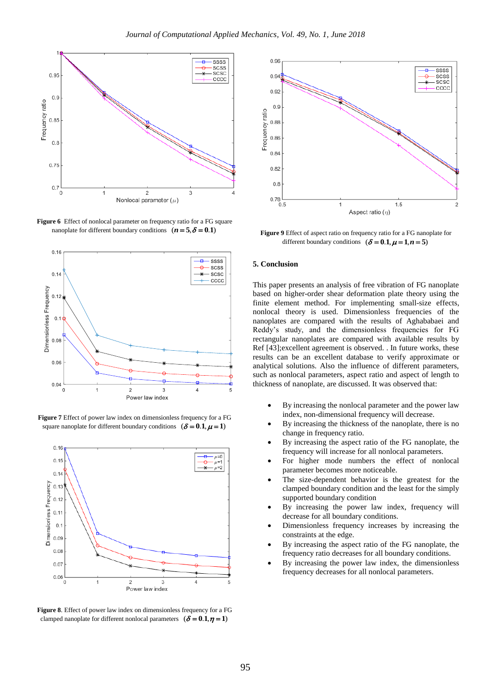

Figure 6 Effect of nonlocal parameter on frequency ratio for a FG square nanoplate for different boundary conditions  $(n = 5, \delta = 0.1)$ 



**Figure 7** Effect of power law index on dimensionless frequency for a FG square nanoplate for different boundary conditions  $(\delta = 0.1, \mu = 1)$ 



**Figure 8**. Effect of power law index on dimensionless frequency for a FG clamped nanoplate for different nonlocal parameters  $(\delta = 0.1, \eta = 1)$ 



**Figure 9** Effect of aspect ratio on frequency ratio for a FG nanoplate for different boundary conditions  $(\delta = 0.1, \mu = 1, n = 5)$ 

#### **5. Conclusion**

This paper presents an analysis of free vibration of FG nanoplate based on higher-order shear deformation plate theory using the finite element method. For implementing small-size effects, nonlocal theory is used. Dimensionless frequencies of the nanoplates are compared with the results of Aghababaei and Reddy's study, and the dimensionless frequencies for FG rectangular nanoplates are compared with available results by Ref [43];excellent agreement is observed. . In future works, these results can be an excellent database to verify approximate or analytical solutions. Also the influence of different parameters, such as nonlocal parameters, aspect ratio and aspect of length to thickness of nanoplate, are discussed. It was observed that:

- By increasing the nonlocal parameter and the power law index, non-dimensional frequency will decrease.
- By increasing the thickness of the nanoplate, there is no change in frequency ratio.
- By increasing the aspect ratio of the FG nanoplate, the frequency will increase for all nonlocal parameters.
- For higher mode numbers the effect of nonlocal parameter becomes more noticeable.
- The size-dependent behavior is the greatest for the clamped boundary condition and the least for the simply supported boundary condition
- By increasing the power law index, frequency will decrease for all boundary conditions.
- Dimensionless frequency increases by increasing the constraints at the edge.
- By increasing the aspect ratio of the FG nanoplate, the frequency ratio decreases for all boundary conditions.
- By increasing the power law index, the dimensionless frequency decreases for all nonlocal parameters.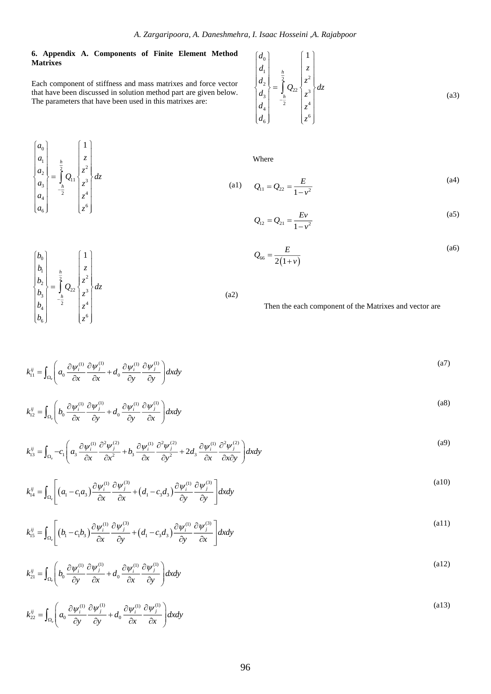### **6. Appendix A. Components of Finite Element Method Matrixes**

Each component of stiffness and mass matrixes and force vector that have been discussed in solution method part are given below. The parameters that have been used in this matrixes are:

$$
\begin{pmatrix} a_0 \\ a_1 \\ a_2 \\ a_3 \\ a_4 \\ a_6 \end{pmatrix} = \frac{\frac{h}{2}}{\frac{2}{2}} Q_{11} \begin{pmatrix} 1 \\ z \\ z^2 \\ z^3 \\ z^4 \\ z^4 \\ z^6 \end{pmatrix} dz
$$

0

*b*

 $\begin{bmatrix} 1 \\ 2 \\ 3 \\ 3 \end{bmatrix} = \int_{h}^{\frac{h}{2}} Q_{22} \begin{bmatrix} z^2 \\ z^3 \\ z^3 \end{bmatrix}$ 

 $\begin{bmatrix} b_2 \\ b_3 \end{bmatrix} = \int_{b}^{2} Q_{22} \begin{bmatrix} z^2 \\ z^3 \end{bmatrix} dz$ 

*h*

ſ

*b z*

 $[b_0]$   $[1]$  $\begin{bmatrix} 0 \\ L \end{bmatrix}$   $\begin{bmatrix} 0 \\ L \end{bmatrix}$  $\left| \begin{array}{c|c} b_1 & h \\ h & \end{array} \right| \left| \begin{array}{c|c} z \\ z \end{array} \right|$  $\begin{Bmatrix} b_2 \\ b_3 \end{Bmatrix} = \begin{bmatrix} \frac{1}{2} & \frac{1}{2} \\ \frac{1}{2} & \frac{1}{2} \end{bmatrix} z^2$ 

1

 $\vert z \vert$   $\vert z^4$  $\begin{bmatrix} 6 \end{bmatrix}$   $\begin{bmatrix} z^6 \end{bmatrix}$ 

 $\begin{bmatrix} b_3 \\ b_4 \\ b_6 \end{bmatrix}$   $\begin{bmatrix} b_3 \\ -b_2 \\ 2 \\ c_6 \end{bmatrix}$   $\begin{bmatrix} z^3 \\ z^4 \\ z^6 \end{bmatrix}$ 

*h*

 $b_4$   $\begin{array}{ccc} & 2 & \ \end{array}$   $\begin{array}{ccc} & 2 & \ \end{array}$  $b_6$  |  $z$ 

$$
\begin{pmatrix} d_0 \\ d_1 \\ d_2 \\ d_3 \\ d_4 \\ d_6 \end{pmatrix} = \frac{\frac{h}{2}}{\frac{h}{2}} Q_{22} \begin{pmatrix} 1 \\ z \\ z^2 \\ z^3 \\ z^4 \\ z^4 \\ z^6 \end{pmatrix} dz
$$
\n(a3)

Where

(a1) 
$$
Q_{11} = Q_{22} = \frac{E}{1 - v^2}
$$
 (a4)

$$
Q_{12} = Q_{21} = \frac{Ev}{1 - v^2}
$$
 (a5)

$$
Q_{66} = \frac{E}{2(1+\nu)}
$$
 (a6)

Then the each component of the Matrixes and vector are

$$
k_{11}^{ij} = \int_{\Omega_e} \left( a_0 \frac{\partial \psi_i^{(1)}}{\partial x} \frac{\partial \psi_j^{(1)}}{\partial x} + d_0 \frac{\partial \psi_i^{(1)}}{\partial y} \frac{\partial \psi_j^{(1)}}{\partial y} \right) dx dy \tag{a7}
$$

(a2)

$$
k_{12}^{ij} = \int_{\Omega_e} \left( b_0 \frac{\partial \psi_i^{(1)}}{\partial x} \frac{\partial \psi_j^{(1)}}{\partial y} + d_0 \frac{\partial \psi_i^{(1)}}{\partial y} \frac{\partial \psi_j^{(1)}}{\partial x} \right) dx dy
$$
 (a8)

$$
k_{13}^{ij} = \int_{\Omega_e} -c_1 \left( a_3 \frac{\partial \psi_i^{(1)}}{\partial x} \frac{\partial^2 \psi_j^{(2)}}{\partial x^2} + b_3 \frac{\partial \psi_i^{(1)}}{\partial x} \frac{\partial^2 \psi_j^{(2)}}{\partial y^2} + 2 d_3 \frac{\partial \psi_i^{(1)}}{\partial x} \frac{\partial^2 \psi_j^{(2)}}{\partial x \partial y} \right) dxdy \tag{a9}
$$

$$
k_{14}^{ij} = \int_{\Omega_{\epsilon}} \left[ \left( a_1 - c_1 a_3 \right) \frac{\partial \psi_i^{(1)}}{\partial x} \frac{\partial \psi_j^{(3)}}{\partial x} + \left( d_1 - c_3 a_3 \right) \frac{\partial \psi_i^{(1)}}{\partial y} \frac{\partial \psi_j^{(3)}}{\partial y} \right] dx dy \tag{a10}
$$

$$
k_{15}^{ij} = \int_{\Omega_e} \left[ \left( b_1 - c_1 b_3 \right) \frac{\partial \psi_i^{(1)}}{\partial x} \frac{\partial \psi_j^{(3)}}{\partial y} + \left( d_1 - c_3 d_3 \right) \frac{\partial \psi_i^{(1)}}{\partial y} \frac{\partial \psi_j^{(3)}}{\partial x} \right] dx dy \tag{a11}
$$

$$
k_{21}^{ij} = \int_{\Omega_e} \left( b_0 \frac{\partial \psi_i^{(1)}}{\partial y} \frac{\partial \psi_j^{(1)}}{\partial x} + d_0 \frac{\partial \psi_i^{(1)}}{\partial x} \frac{\partial \psi_j^{(1)}}{\partial y} \right) dx dy
$$
 (a12)

$$
k_{22}^{ij} = \int_{\Omega_e} \left( a_0 \frac{\partial \psi_i^{(1)}}{\partial y} \frac{\partial \psi_i^{(1)}}{\partial y} + d_0 \frac{\partial \psi_i^{(1)}}{\partial x} \frac{\partial \psi_i^{(1)}}{\partial x} \right) dx dy
$$
\n(a13)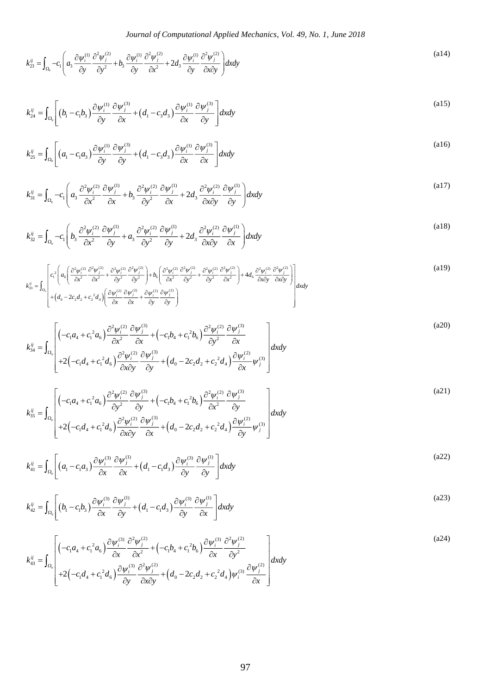$$
k_{23}^{ij} = \int_{\Omega_{\epsilon}} -c_1 \left( a_3 \frac{\partial \psi_i^{(1)}}{\partial y} \frac{\partial^2 \psi_j^{(2)}}{\partial y^2} + b_3 \frac{\partial \psi_i^{(1)}}{\partial y} \frac{\partial^2 \psi_j^{(2)}}{\partial x^2} + 2d_3 \frac{\partial \psi_i^{(1)}}{\partial y} \frac{\partial^2 \psi_j^{(2)}}{\partial x \partial y} \right) dxdy \tag{a14}
$$

$$
k_{24}^{ij} = \int_{\Omega_e} \left[ \left( b_1 - c_1 b_3 \right) \frac{\partial \psi_i^{(1)}}{\partial y} \frac{\partial \psi_j^{(3)}}{\partial x} + \left( d_1 - c_3 d_3 \right) \frac{\partial \psi_i^{(1)}}{\partial x} \frac{\partial \psi_j^{(3)}}{\partial y} \right] dx dy \tag{a15}
$$

$$
k_{25}^{ij} = \int_{\Omega_e} \left[ \left( a_1 - c_1 a_3 \right) \frac{\partial \psi_i^{(1)}}{\partial y} \frac{\partial \psi_j^{(3)}}{\partial y} + \left( d_1 - c_3 a_3 \right) \frac{\partial \psi_i^{(1)}}{\partial x} \frac{\partial \psi_j^{(3)}}{\partial x} \right] dx dy \tag{a16}
$$

$$
k_{31}^{ij} = \int_{\Omega_e} -c_1 \left( a_3 \frac{\partial^2 \psi_i^{(2)}}{\partial x^2} \frac{\partial \psi_j^{(1)}}{\partial x} + b_3 \frac{\partial^2 \psi_i^{(2)}}{\partial y^2} \frac{\partial \psi_j^{(1)}}{\partial x} + 2d_3 \frac{\partial^2 \psi_i^{(2)}}{\partial x \partial y} \frac{\partial \psi_j^{(1)}}{\partial y} \right) dx dy
$$
 (a17)

$$
k_{32}^{ij} = \int_{\Omega_e} -c_1 \left( b_3 \frac{\partial^2 \psi_i^{(2)}}{\partial x^2} \frac{\partial \psi_j^{(1)}}{\partial y} + a_3 \frac{\partial^2 \psi_i^{(2)}}{\partial y^2} \frac{\partial \psi_j^{(1)}}{\partial y} + 2d_3 \frac{\partial^2 \psi_i^{(2)}}{\partial x \partial y} \frac{\partial \psi_j^{(1)}}{\partial x} \right) dxdy \tag{a18}
$$

$$
k_{33}^{ij} = \int_{\Omega_{\varepsilon}} \left[ c_1^2 \left( a_6 \left( \frac{\partial^2 \psi_i^{(2)}}{\partial x^2} \frac{\partial^2 \psi_j^{(2)}}{\partial x^2} + \frac{\partial^2 \psi_i^{(2)}}{\partial y^2} \frac{\partial^2 \psi_j^{(2)}}{\partial y^2} \right) + b_6 \left( \frac{\partial^2 \psi_i^{(2)}}{\partial x^2} \frac{\partial^2 \psi_j^{(2)}}{\partial y^2} + \frac{\partial^2 \psi_i^{(2)}}{\partial y^2} \frac{\partial^2 \psi_j^{(2)}}{\partial x^2} \right) + 4d_6 \frac{\partial^2 \psi_i^{(2)}}{\partial x \partial y} \frac{\partial^2 \psi_j^{(2)}}{\partial x \partial y} \right] dxdy
$$
\n
$$
+ \left( d_0 - 2c_2 d_2 + c_2^2 d_4 \right) \left( \frac{\partial \psi_i^{(2)}}{\partial x} \frac{\partial \psi_j^{(2)}}{\partial x} + \frac{\partial \psi_i^{(2)}}{\partial y} \frac{\partial \psi_j^{(2)}}{\partial y} \right)
$$
\n
$$
(a19)
$$

$$
k_{34}^{ij} = \int_{\Omega_e} \left[ \left( -c_1 a_4 + c_1^2 a_6 \right) \frac{\partial^2 \psi_i^{(2)}}{\partial x^2} \frac{\partial \psi_j^{(3)}}{\partial x} + \left( -c_1 b_4 + c_1^2 b_6 \right) \frac{\partial^2 \psi_i^{(2)}}{\partial y^2} \frac{\partial \psi_j^{(3)}}{\partial x} + \left( \frac{\partial^2 \psi_i^{(3)}}{\partial x^2} \frac{\partial \psi_j^{(3)}}{\partial x} \right) \frac{\partial^2 \psi_i^{(2)}}{\partial x^2} \frac{\partial \psi_j^{(3)}}{\partial x} + 2 \left( -c_1 d_4 + c_1^2 d_6 \right) \frac{\partial^2 \psi_i^{(2)}}{\partial x \partial y} \frac{\partial \psi_j^{(3)}}{\partial y} + \left( d_0 - 2 c_2 d_2 + c_2^2 d_4 \right) \frac{\partial \psi_i^{(2)}}{\partial x} \psi_j^{(3)} \right] dx dy
$$
\n
$$
(a20)
$$

$$
k_{35}^{ij} = \int_{\Omega_{\epsilon}} \left[ \left( -c_{1}a_{4} + c_{1}^{2}a_{6} \right) \frac{\partial^{2}\psi_{i}^{(2)}}{\partial y^{2}} \frac{\partial \psi_{j}^{(3)}}{\partial y} + \left( -c_{1}b_{4} + c_{1}^{2}b_{6} \right) \frac{\partial^{2}\psi_{i}^{(2)}}{\partial x^{2}} \frac{\partial \psi_{j}^{(3)}}{\partial y} + \left( \frac{\partial^{2}\psi_{i}^{(3)}}{\partial y^{2}} \frac{\partial \psi_{j}^{(3)}}{\partial z} \right) \frac{\partial^{2}\psi_{i}^{(2)}}{\partial y} \frac{\partial \psi_{j}^{(3)}}{\partial z} + 2\left( -c_{1}d_{4} + c_{1}^{2}d_{6} \right) \frac{\partial^{2}\psi_{i}^{(2)}}{\partial x \partial y} \frac{\partial \psi_{j}^{(3)}}{\partial x} + \left( d_{0} - 2c_{2}d_{2} + c_{2}^{2}d_{4} \right) \frac{\partial \psi_{i}^{(2)}}{\partial y} \psi_{j}^{(3)} \right] dx dy
$$
\n
$$
(a21)
$$

$$
k_{41}^{ij} = \int_{\Omega_{\epsilon}} \left[ \left( a_1 - c_1 a_3 \right) \frac{\partial \psi_i^{(3)}}{\partial x} \frac{\partial \psi_j^{(1)}}{\partial x} + \left( d_1 - c_1 a_3 \right) \frac{\partial \psi_i^{(3)}}{\partial y} \frac{\partial \psi_j^{(1)}}{\partial y} \right] dx dy \tag{a22}
$$

$$
k_{42}^{ij} = \int_{\Omega_{\epsilon}} \left[ \left( b_1 - c_1 b_3 \right) \frac{\partial \psi_i^{(3)}}{\partial x} \frac{\partial \psi_j^{(1)}}{\partial y} + \left( d_1 - c_1 d_3 \right) \frac{\partial \psi_i^{(3)}}{\partial y} \frac{\partial \psi_j^{(1)}}{\partial x} \right] dx dy \tag{a23}
$$

$$
k_{43}^{ij} = \int_{\Omega_{\epsilon}} \left[ \left( -c_{1}a_{4} + c_{1}^{2}a_{6} \right) \frac{\partial \psi_{i}^{(3)}}{\partial x} \frac{\partial^{2} \psi_{j}^{(2)}}{\partial x^{2}} + \left( -c_{1}b_{4} + c_{1}^{2}b_{6} \right) \frac{\partial \psi_{i}^{(3)}}{\partial x} \frac{\partial^{2} \psi_{j}^{(2)}}{\partial y^{2}} + \left( \frac{\partial \psi_{i}^{(3)}}{\partial y} \frac{\partial^{2} \psi_{j}^{(2)}}{\partial y^{2}} \right) \right] dxdy \tag{a24}
$$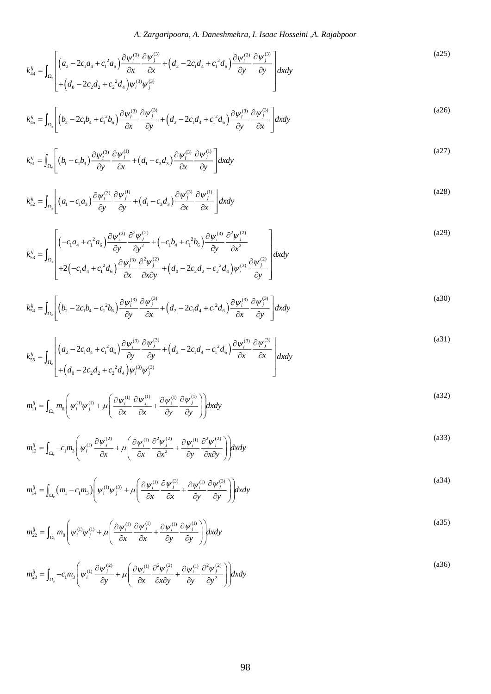*A. Zargaripoora, A. Daneshmehra, I. Isaac Hosseini ,A. Rajabpoor*

$$
k_{44}^{ij} = \int_{\Omega_{\epsilon}} \left[ \left( a_2 - 2c_1 a_4 + c_1^2 a_6 \right) \frac{\partial \psi_i^{(3)}}{\partial x} \frac{\partial \psi_j^{(3)}}{\partial x} + \left( d_2 - 2c_1 d_4 + c_1^2 d_6 \right) \frac{\partial \psi_i^{(3)}}{\partial y} \frac{\partial \psi_j^{(3)}}{\partial y} \right] dxdy \tag{a25}
$$

$$
k_{45}^{ij} = \int_{\Omega_{\epsilon}} \left[ \left( b_2 - 2c_1 b_4 + c_1^2 b_6 \right) \frac{\partial \psi_i^{(3)}}{\partial x} \frac{\partial \psi_j^{(3)}}{\partial y} + \left( d_2 - 2c_1 d_4 + c_1^2 d_6 \right) \frac{\partial \psi_i^{(3)}}{\partial y} \frac{\partial \psi_j^{(3)}}{\partial x} \right] dx dy \tag{a26}
$$

$$
k_{51}^{ij} = \int_{\Omega_{\epsilon}} \left[ \left( b_1 - c_1 b_3 \right) \frac{\partial \psi_i^{(3)}}{\partial y} \frac{\partial \psi_j^{(1)}}{\partial x} + \left( d_1 - c_3 d_3 \right) \frac{\partial \psi_i^{(3)}}{\partial x} \frac{\partial \psi_j^{(1)}}{\partial y} \right] dx dy \tag{a27}
$$

$$
k_{52}^{ij} = \int_{\Omega_{\epsilon}} \left[ \left( a_1 - c_1 a_3 \right) \frac{\partial \psi_i^{(3)}}{\partial y} \frac{\partial \psi_j^{(1)}}{\partial y} + \left( d_1 - c_3 a_3 \right) \frac{\partial \psi_j^{(3)}}{\partial x} \frac{\partial \psi_j^{(1)}}{\partial x} \right] dx dy \tag{a28}
$$

$$
k_{53}^{ij} = \int_{\Omega_{\epsilon}} \left[ \left( -c_1 a_4 + c_1^2 a_6 \right) \frac{\partial \psi_i^{(3)}}{\partial y} \frac{\partial^2 \psi_j^{(2)}}{\partial y^2} + \left( -c_1 b_4 + c_1^2 b_6 \right) \frac{\partial \psi_i^{(3)}}{\partial y} \frac{\partial^2 \psi_j^{(2)}}{\partial x^2} + \left( \frac{c_1 a_4 + c_1^2 a_6}{2} \right) \frac{\partial \psi_i^{(3)}}{\partial y} \frac{\partial^2 \psi_j^{(2)}}{\partial x^2} + \left( d_0 - 2c_2 d_2 + c_2^2 d_4 \right) \psi_i^{(3)} \frac{\partial \psi_j^{(2)}}{\partial y} \right] dx dy
$$
\n(329)

$$
k_{54}^{ij} = \int_{\Omega_e} \left[ \left( b_2 - 2c_1 b_4 + c_1^2 b_6 \right) \frac{\partial \psi_i^{(3)}}{\partial y} \frac{\partial \psi_j^{(3)}}{\partial x} + \left( d_2 - 2c_1 d_4 + c_1^2 d_6 \right) \frac{\partial \psi_i^{(3)}}{\partial x} \frac{\partial \psi_j^{(3)}}{\partial y} \right] dx dy \tag{a30}
$$

$$
k_{55}^{ij} = \int_{\Omega_{\epsilon}} \left[ \left( a_2 - 2c_1 a_4 + c_1^2 a_6 \right) \frac{\partial \psi_i^{(3)}}{\partial y} \frac{\partial \psi_j^{(3)}}{\partial y} + \left( d_2 - 2c_1 d_4 + c_1^2 d_6 \right) \frac{\partial \psi_i^{(3)}}{\partial x} \frac{\partial \psi_j^{(3)}}{\partial x} \right] dxdy \tag{a31}
$$

$$
m_{11}^{ij} = \int_{\Omega_e} m_0 \left( \psi_i^{(1)} \psi_j^{(1)} + \mu \left( \frac{\partial \psi_i^{(1)}}{\partial x} \frac{\partial \psi_j^{(1)}}{\partial x} + \frac{\partial \psi_i^{(1)}}{\partial y} \frac{\partial \psi_j^{(1)}}{\partial y} \right) \right) dx dy
$$
\n(a32)

$$
m_{13}^{ij} = \int_{\Omega_e} -c_1 m_3 \left( \psi_i^{(1)} \frac{\partial \psi_j^{(2)}}{\partial x} + \mu \left( \frac{\partial \psi_i^{(1)}}{\partial x} \frac{\partial^2 \psi_j^{(2)}}{\partial x^2} + \frac{\partial \psi_i^{(1)}}{\partial y} \frac{\partial^2 \psi_j^{(2)}}{\partial x \partial y} \right) \right) dx dy
$$
\n(a33)

$$
m_{14}^{ij} = \int_{\Omega_e} \left( m_1 - c_1 m_3 \right) \left( \psi_i^{(1)} \psi_j^{(3)} + \mu \left( \frac{\partial \psi_i^{(1)}}{\partial x} \frac{\partial \psi_j^{(3)}}{\partial x} + \frac{\partial \psi_i^{(1)}}{\partial y} \frac{\partial \psi_j^{(3)}}{\partial y} \right) \right) dx dy \tag{a34}
$$

$$
m_{22}^{ij} = \int_{\Omega_e} m_0 \left( \psi_i^{(1)} \psi_j^{(1)} + \mu \left( \frac{\partial \psi_i^{(1)}}{\partial x} \frac{\partial \psi_j^{(1)}}{\partial x} + \frac{\partial \psi_i^{(1)}}{\partial y} \frac{\partial \psi_j^{(1)}}{\partial y} \right) \right) dx dy
$$
 (a35)

$$
m_{23}^{ij} = \int_{\Omega_e} -c_1 m_3 \left( \psi_i^{(1)} \frac{\partial \psi_j^{(2)}}{\partial y} + \mu \left( \frac{\partial \psi_i^{(1)}}{\partial x} \frac{\partial^2 \psi_j^{(2)}}{\partial x \partial y} + \frac{\partial \psi_i^{(1)}}{\partial y} \frac{\partial^2 \psi_j^{(2)}}{\partial y^2} \right) \right) dx dy
$$
\n(a36)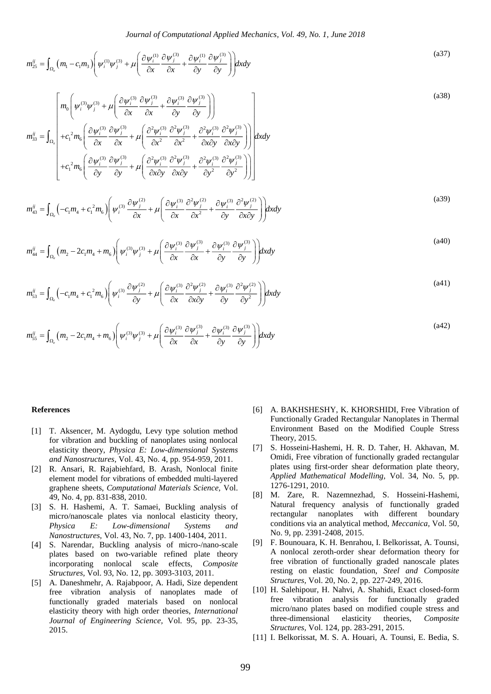$$
m_{25}^{ij} = \int_{\Omega_e} \left( m_1 - c_1 m_3 \right) \left( \psi_i^{(1)} \psi_j^{(3)} + \mu \left( \frac{\partial \psi_i^{(1)}}{\partial x} \frac{\partial \psi_j^{(3)}}{\partial x} + \frac{\partial \psi_i^{(1)}}{\partial y} \frac{\partial \psi_j^{(3)}}{\partial y} \right) \right) dx dy \tag{a37}
$$

$$
m_n^2 = \int_{1/2} (m_i - c_i m_i) \left[ \frac{\partial \psi_1^{(1)} \phi_2^{(2)} + \mu \left[ \frac{\partial \psi_1^{(1)} \partial \psi_2^{(3)}}{\partial x} + \frac{\mu}{\partial y} \frac{\partial \psi_1^{(3)}}{\partial y} + \frac{\partial \psi_1^{(3)}}{\partial y} \frac{\partial \psi_1^{(3)}}{\partial y} \right] \right]
$$
\n
$$
m_n^2 = \int_{1/2} (m_i - c_i m_i) \left[ \frac{\partial \psi_1^{(3)} \partial \psi_2^{(3)}}{\partial x} + \mu \left( \frac{\partial \psi_1^{(3)} \partial \psi_1^{(3)}}{\partial x} + \frac{\partial \psi_1^{(3)}}{\partial x} \frac{\partial \psi_1^{(3)}}{\partial x} \right) \right]
$$
\n
$$
m_n^2 = \int_{1/2} (m_i - c_i m_i) \left[ \psi_1^{(3)} \frac{\partial \psi_1^{(3)}}{\partial x} + \mu \left( \frac{\partial \psi_1^{(3)} \partial \psi_1^{(3)}}{\partial x} + \frac{\partial \psi_1^{(3)}}{\partial x} \frac{\partial \psi_1^{(3)}}{\partial x} \right) \right]
$$
\n
$$
m_n^2 = \int_{1/2} (m_i - 2c_i m_i + m_i) \left[ \psi_1^{(3)} \frac{\partial \psi_1^{(3)}}{\partial x} + \mu \left( \frac{\partial \psi_1^{(3)}}{\partial x} \frac{\partial \psi_1^{(3)}}{\partial x} + \frac{\partial \psi_1^{(3)}}{\partial y} \frac{\partial \psi_1^{(3)}}{\partial y} \right) \right]
$$
\n
$$
m_n^2 = \int_{1/2} (m_i - 2c_i m_i + m_i) \left[ \psi_1^{(3)} \frac{\partial \psi_1^{(3)}}{\partial x} + \mu \left( \frac{\partial \psi_1^{(3)}}{\partial x} \frac{\partial \psi_1^{(3)}}{\partial x} + \frac{\partial \psi_1^{(3)}}{\partial y} \frac{\partial \psi_1^{(3)}}{\partial y} \right) \right]
$$
\n
$$
m_n^2 = \int_{1/2} (m_i - 2c_i m_i + m_i) \left[ \psi_1^{(3)} \frac{\partial \psi_1^{(3)}}{\partial x} + \mu \left( \frac{\partial \psi_1^{(3)}}{\partial
$$

$$
m_{43}^{ij} = \int_{\Omega_e} \left( -c_1 m_4 + c_1^2 m_6 \right) \left( \psi_i^{(3)} \frac{\partial \psi_j^{(2)}}{\partial x} + \mu \left( \frac{\partial \psi_i^{(3)}}{\partial x} \frac{\partial^2 \psi_j^{(2)}}{\partial x^2} + \frac{\partial \psi_i^{(3)}}{\partial y} \frac{\partial^2 \psi_j^{(2)}}{\partial x \partial y} \right) \right) dx dy \tag{a39}
$$

$$
m_{44}^{ij} = \int_{\Omega_e} \left( m_2 - 2c_1 m_4 + m_6 \right) \left( \psi_i^{(3)} \psi_j^{(3)} + \mu \left( \frac{\partial \psi_i^{(3)}}{\partial x} \frac{\partial \psi_j^{(3)}}{\partial x} + \frac{\partial \psi_i^{(3)}}{\partial y} \frac{\partial \psi_j^{(3)}}{\partial y} \right) \right) dx dy \tag{a40}
$$

$$
m_{53}^{ij} = \int_{\Omega_e} \left( -c_1 m_4 + c_1^2 m_6 \right) \left( \psi_i^{(3)} \frac{\partial \psi_j^{(2)}}{\partial y} + \mu \left( \frac{\partial \psi_i^{(3)}}{\partial x} \frac{\partial^2 \psi_j^{(2)}}{\partial x \partial y} + \frac{\partial \psi_i^{(3)}}{\partial y} \frac{\partial^2 \psi_j^{(2)}}{\partial y^2} \right) \right) dx dy \tag{a41}
$$

$$
m_{55}^{ij} = \int_{\Omega_e} \left( m_2 - 2c_1 m_4 + m_6 \right) \left( \psi_i^{(3)} \psi_j^{(3)} + \mu \left( \frac{\partial \psi_i^{(3)}}{\partial x} \frac{\partial \psi_j^{(3)}}{\partial x} + \frac{\partial \psi_i^{(3)}}{\partial y} \frac{\partial \psi_j^{(3)}}{\partial y} \right) \right) dx dy \tag{a42}
$$

#### **References**

- [1] T. Aksencer, M. Aydogdu, Levy type solution method for vibration and buckling of nanoplates using nonlocal elasticity theory, *Physica E: Low-dimensional Systems and Nanostructures,* Vol. 43, No. 4, pp. 954-959, 2011.
- [2] R. Ansari, R. Rajabiehfard, B. Arash, Nonlocal finite element model for vibrations of embedded multi-layered graphene sheets, *Computational Materials Science,* Vol. 49, No. 4, pp. 831-838, 2010.
- [3] S. H. Hashemi, A. T. Samaei, Buckling analysis of micro/nanoscale plates via nonlocal elasticity theory, *Physica E: Low-dimensional Systems and Nanostructures,* Vol. 43, No. 7, pp. 1400-1404, 2011.
- [4] S. Narendar, Buckling analysis of micro-/nano-scale plates based on two-variable refined plate theory incorporating nonlocal scale effects, *Composite Structures,* Vol. 93, No. 12, pp. 3093-3103, 2011.
- [5] A. Daneshmehr, A. Rajabpoor, A. Hadi, Size dependent free vibration analysis of nanoplates made of functionally graded materials based on nonlocal elasticity theory with high order theories, *International Journal of Engineering Science,* Vol. 95, pp. 23-35, 2015.
- [6] A. BAKHSHESHY, K. KHORSHIDI, Free Vibration of Functionally Graded Rectangular Nanoplates in Thermal Environment Based on the Modified Couple Stress Theory, 2015.
- [7] S. Hosseini-Hashemi, H. R. D. Taher, H. Akhavan, M. Omidi, Free vibration of functionally graded rectangular plates using first-order shear deformation plate theory, *Applied Mathematical Modelling,* Vol. 34, No. 5, pp. 1276-1291, 2010.
- [8] M. Zare, R. Nazemnezhad, S. Hosseini-Hashemi, Natural frequency analysis of functionally graded rectangular nanoplates with different boundary conditions via an analytical method, *Meccanica,* Vol. 50, No. 9, pp. 2391-2408, 2015.
- [9] F. Bounouara, K. H. Benrahou, I. Belkorissat, A. Tounsi, A nonlocal zeroth-order shear deformation theory for free vibration of functionally graded nanoscale plates resting on elastic foundation, *Steel and Composite Structures,* Vol. 20, No. 2, pp. 227-249, 2016.
- [10] H. Salehipour, H. Nahvi, A. Shahidi, Exact closed-form free vibration analysis for functionally graded micro/nano plates based on modified couple stress and three-dimensional elasticity theories, *Composite Structures,* Vol. 124, pp. 283-291, 2015.
- [11] I. Belkorissat, M. S. A. Houari, A. Tounsi, E. Bedia, S.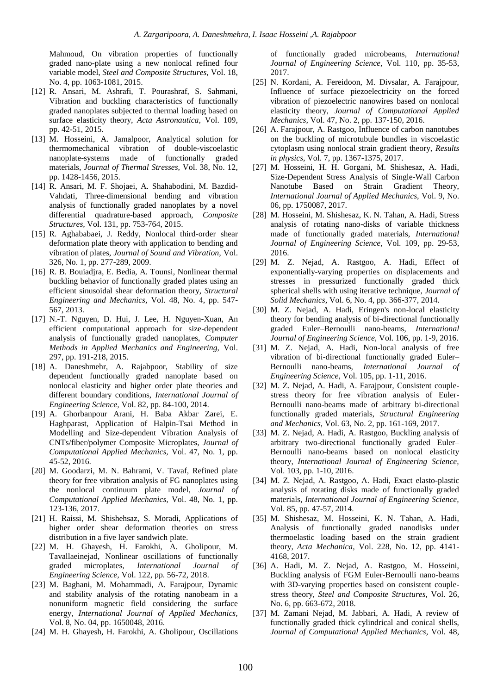Mahmoud, On vibration properties of functionally graded nano-plate using a new nonlocal refined four variable model, *Steel and Composite Structures,* Vol. 18, No. 4, pp. 1063-1081, 2015.

- [12] R. Ansari, M. Ashrafi, T. Pourashraf, S. Sahmani, Vibration and buckling characteristics of functionally graded nanoplates subjected to thermal loading based on surface elasticity theory, *Acta Astronautica,* Vol. 109, pp. 42-51, 2015.
- [13] M. Hosseini, A. Jamalpoor, Analytical solution for thermomechanical vibration of double-viscoelastic nanoplate-systems made of functionally graded materials, *Journal of Thermal Stresses,* Vol. 38, No. 12, pp. 1428-1456, 2015.
- [14] R. Ansari, M. F. Shojaei, A. Shahabodini, M. Bazdid-Vahdati, Three-dimensional bending and vibration analysis of functionally graded nanoplates by a novel differential quadrature-based approach, *Composite Structures,* Vol. 131, pp. 753-764, 2015.
- [15] R. Aghababaei, J. Reddy, Nonlocal third-order shear deformation plate theory with application to bending and vibration of plates, *Journal of Sound and Vibration,* Vol. 326, No. 1, pp. 277-289, 2009.
- [16] R. B. Bouiadjra, E. Bedia, A. Tounsi, Nonlinear thermal buckling behavior of functionally graded plates using an efficient sinusoidal shear deformation theory, *Structural Engineering and Mechanics,* Vol. 48, No. 4, pp. 547- 567, 2013.
- [17] N.-T. Nguyen, D. Hui, J. Lee, H. Nguyen-Xuan, An efficient computational approach for size-dependent analysis of functionally graded nanoplates, *Computer Methods in Applied Mechanics and Engineering,* Vol. 297, pp. 191-218, 2015.
- [18] A. Daneshmehr, A. Rajabpoor, Stability of size dependent functionally graded nanoplate based on nonlocal elasticity and higher order plate theories and different boundary conditions, *International Journal of Engineering Science,* Vol. 82, pp. 84-100, 2014.
- [19] A. Ghorbanpour Arani, H. Baba Akbar Zarei, E. Haghparast, Application of Halpin-Tsai Method in Modelling and Size-dependent Vibration Analysis of CNTs/fiber/polymer Composite Microplates, *Journal of Computational Applied Mechanics,* Vol. 47, No. 1, pp. 45-52, 2016.
- [20] M. Goodarzi, M. N. Bahrami, V. Tavaf, Refined plate theory for free vibration analysis of FG nanoplates using the nonlocal continuum plate model, *Journal of Computational Applied Mechanics,* Vol. 48, No. 1, pp. 123-136, 2017.
- [21] H. Raissi, M. Shishehsaz, S. Moradi, Applications of higher order shear deformation theories on stress distribution in a five layer sandwich plate.
- [22] M. H. Ghayesh, H. Farokhi, A. Gholipour, M. Tavallaeinejad, Nonlinear oscillations of functionally graded microplates, *International Journal of Engineering Science,* Vol. 122, pp. 56-72, 2018.
- [23] M. Baghani, M. Mohammadi, A. Farajpour, Dynamic and stability analysis of the rotating nanobeam in a nonuniform magnetic field considering the surface energy, *International Journal of Applied Mechanics,* Vol. 8, No. 04, pp. 1650048, 2016.
- [24] M. H. Ghayesh, H. Farokhi, A. Gholipour, Oscillations

of functionally graded microbeams, *International Journal of Engineering Science,* Vol. 110, pp. 35-53, 2017.

- [25] N. Kordani, A. Fereidoon, M. Divsalar, A. Farajpour, Influence of surface piezoelectricity on the forced vibration of piezoelectric nanowires based on nonlocal elasticity theory, *Journal of Computational Applied Mechanics,* Vol. 47, No. 2, pp. 137-150, 2016.
- [26] A. Farajpour, A. Rastgoo, Influence of carbon nanotubes on the buckling of microtubule bundles in viscoelastic cytoplasm using nonlocal strain gradient theory, *Results in physics,* Vol. 7, pp. 1367-1375, 2017.
- [27] M. Hosseini, H. H. Gorgani, M. Shishesaz, A. Hadi, Size-Dependent Stress Analysis of Single-Wall Carbon Nanotube Based on Strain Gradient Theory, *International Journal of Applied Mechanics,* Vol. 9, No. 06, pp. 1750087, 2017.
- [28] M. Hosseini, M. Shishesaz, K. N. Tahan, A. Hadi, Stress analysis of rotating nano-disks of variable thickness made of functionally graded materials, *International Journal of Engineering Science,* Vol. 109, pp. 29-53, 2016.
- [29] M. Z. Nejad, A. Rastgoo, A. Hadi, Effect of exponentially-varying properties on displacements and stresses in pressurized functionally graded thick spherical shells with using iterative technique, *Journal of Solid Mechanics,* Vol. 6, No. 4, pp. 366-377, 2014.
- [30] M. Z. Nejad, A. Hadi, Eringen's non-local elasticity theory for bending analysis of bi-directional functionally graded Euler–Bernoulli nano-beams, *International Journal of Engineering Science,* Vol. 106, pp. 1-9, 2016.
- [31] M. Z. Nejad, A. Hadi, Non-local analysis of free vibration of bi-directional functionally graded Euler– Bernoulli nano-beams, *International Journal of Engineering Science,* Vol. 105, pp. 1-11, 2016.
- [32] M. Z. Nejad, A. Hadi, A. Farajpour, Consistent couplestress theory for free vibration analysis of Euler-Bernoulli nano-beams made of arbitrary bi-directional functionally graded materials, *Structural Engineering and Mechanics,* Vol. 63, No. 2, pp. 161-169, 2017.
- [33] M. Z. Nejad, A. Hadi, A. Rastgoo, Buckling analysis of arbitrary two-directional functionally graded Euler– Bernoulli nano-beams based on nonlocal elasticity theory, *International Journal of Engineering Science,* Vol. 103, pp. 1-10, 2016.
- [34] M. Z. Nejad, A. Rastgoo, A. Hadi, Exact elasto-plastic analysis of rotating disks made of functionally graded materials, *International Journal of Engineering Science,* Vol. 85, pp. 47-57, 2014.
- [35] M. Shishesaz, M. Hosseini, K. N. Tahan, A. Hadi, Analysis of functionally graded nanodisks under thermoelastic loading based on the strain gradient theory, *Acta Mechanica,* Vol. 228, No. 12, pp. 4141- 4168, 2017.
- [36] A. Hadi, M. Z. Nejad, A. Rastgoo, M. Hosseini, Buckling analysis of FGM Euler-Bernoulli nano-beams with 3D-varying properties based on consistent couplestress theory, *Steel and Composite Structures,* Vol. 26, No. 6, pp. 663-672, 2018.
- [37] M. Zamani Nejad, M. Jabbari, A. Hadi, A review of functionally graded thick cylindrical and conical shells, *Journal of Computational Applied Mechanics,* Vol. 48,